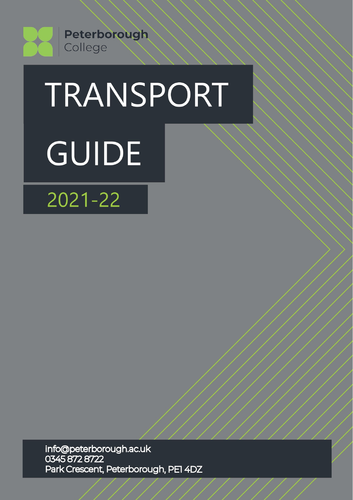

# TRANSPORT **GUIDE**

 $2021 - 22$ 

info@peterborough.ac.uk<br>0345 872 8722 Park Crescent, Peterborough, PEI 4DZ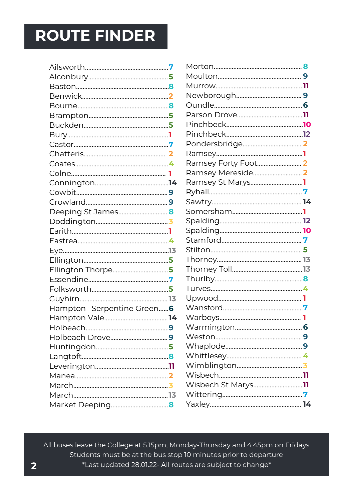# **ROUTE FINDER**

| Deeping St James <mark>8</mark> |  |
|---------------------------------|--|
|                                 |  |
|                                 |  |
|                                 |  |
|                                 |  |
|                                 |  |
| Ellington Thorpe5               |  |
|                                 |  |
|                                 |  |
|                                 |  |
| Hampton-Serpentine Green 6      |  |
|                                 |  |
|                                 |  |
|                                 |  |
|                                 |  |
|                                 |  |
|                                 |  |
|                                 |  |
|                                 |  |
|                                 |  |
| Market Deeping <mark>8</mark>   |  |

| Ramsey Mereside <mark>2</mark> |  |
|--------------------------------|--|
| Ramsey St Marys <mark>1</mark> |  |
|                                |  |
|                                |  |
|                                |  |
|                                |  |
|                                |  |
|                                |  |
|                                |  |
|                                |  |
|                                |  |
|                                |  |
|                                |  |
|                                |  |
|                                |  |
|                                |  |
|                                |  |
|                                |  |
|                                |  |
|                                |  |
|                                |  |
| Wisbech St Marys11             |  |
|                                |  |
|                                |  |
|                                |  |

All buses leave the College at 5.15pm, Monday-Thursday and 4.45pm on Fridays Students must be at the bus stop 10 minutes prior to departure **2** \*Last updated 28.01.22- All routes are subject to change\*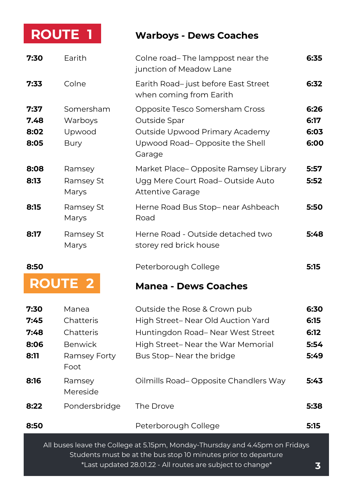# **ROUTE**

#### **| ROUTE 1 Warboys - Dews Coaches**

| 7:30                         | Earith                                                           | Colne road-The lamppost near the<br>junction of Meadow Lane                                                                             | 6:35                         |
|------------------------------|------------------------------------------------------------------|-----------------------------------------------------------------------------------------------------------------------------------------|------------------------------|
| 7:33                         | Colne                                                            | Earith Road-just before East Street<br>when coming from Earith                                                                          | 6:32                         |
| 7:37<br>7.48<br>8:02<br>8:05 | Somersham<br>Warboys<br>Upwood<br><b>Bury</b>                    | Opposite Tesco Somersham Cross<br>Outside Spar<br>Outside Upwood Primary Academy<br>Upwood Road-Opposite the Shell<br>Garage            | 6:26<br>6:17<br>6:03<br>6:00 |
| 8:08<br>8:13                 | Ramsey<br>Ramsey St<br>Marys                                     | Market Place-Opposite Ramsey Library<br>Ugg Mere Court Road-Outside Auto<br>Attentive Garage                                            | 5:57<br>5:52                 |
| 8:15                         | Ramsey St<br>Marys                                               | Herne Road Bus Stop-near Ashbeach<br>Road                                                                                               | 5:50                         |
| 8:17                         | Ramsey St<br>Marys                                               | Herne Road - Outside detached two<br>storey red brick house                                                                             | 5:48                         |
| 8:50                         |                                                                  | Peterborough College                                                                                                                    | 5:15                         |
|                              | <b>ROUTE 2</b>                                                   | <b>Manea - Dews Coaches</b>                                                                                                             |                              |
| 7:30<br>7:45<br>7:48         | Manea                                                            | Outside the Rose & Crown pub                                                                                                            | 6:30                         |
| 8:06<br>8:11                 | Chatteris<br>Chatteris<br><b>Benwick</b><br>Ramsey Forty<br>Foot | High Street-Near Old Auction Yard<br>Huntingdon Road-Near West Street<br>High Street- Near the War Memorial<br>Bus Stop-Near the bridge | 6:15<br>6:12<br>5:54<br>5:49 |
| 8:16                         | Ramsey<br>Mereside                                               | Oilmills Road-Opposite Chandlers Way                                                                                                    | 5:43                         |
| 8:22                         | Pondersbridge                                                    | The Drove                                                                                                                               | 5:38                         |
| 8:50                         |                                                                  | Peterborough College                                                                                                                    | 5:15                         |

\*Last updated 28.01.22 - All routes are subject to change\* **3**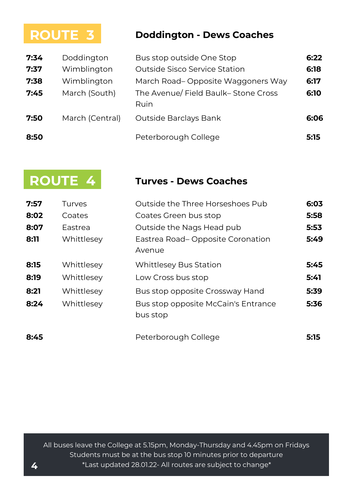# **ROUTE 3**

#### **| ROUTE 3 Doddington - Dews Coaches**

| 7:34 | Doddington      | Bus stop outside One Stop                   | 6:22 |
|------|-----------------|---------------------------------------------|------|
| 7:37 | Wimblington     | Outside Sisco Service Station               | 6:18 |
| 7:38 | Wimblington     | March Road-Opposite Waggoners Way           | 6:17 |
| 7:45 | March (South)   | The Avenue/ Field Baulk-Stone Cross<br>Ruin | 6:10 |
| 7:50 | March (Central) | Outside Barclays Bank                       | 6:06 |
| 8:50 |                 | Peterborough College                        | 5:15 |

|                              | <b>ROUTE 4</b>                                       | Turves - Dews Coaches                                                                                                                               |                              |
|------------------------------|------------------------------------------------------|-----------------------------------------------------------------------------------------------------------------------------------------------------|------------------------------|
| 7:57<br>8:02<br>8:07<br>8:11 | Turves<br>Coates<br>Eastrea<br>Whittlesey            | Outside the Three Horseshoes Pub<br>Coates Green bus stop<br>Outside the Nags Head pub<br>Eastrea Road–Opposite Coronation                          | 6:03<br>5:58<br>5:53<br>5:49 |
| 8:15<br>8:19<br>8:21<br>8:24 | Whittlesey<br>Whittlesey<br>Whittlesey<br>Whittlesey | Avenue<br><b>Whittlesey Bus Station</b><br>Low Cross bus stop<br>Bus stop opposite Crossway Hand<br>Bus stop opposite McCain's Entrance<br>bus stop | 5:45<br>5:41<br>5:39<br>5:36 |
| 8:45                         |                                                      | Peterborough College                                                                                                                                | 5:15                         |

All buses leave the College at 5.15pm, Monday-Thursday and 4.45pm on Fridays Students must be at the bus stop 10 minutes prior to departure **4** \*Last updated 28.01.22- All routes are subject to change\*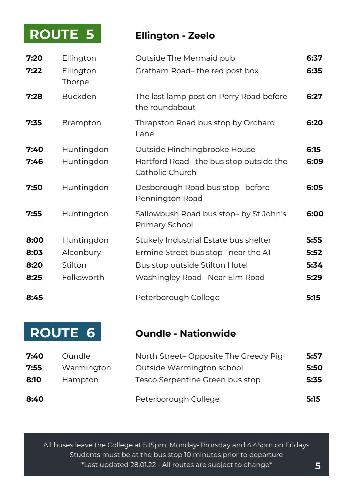### **| ROUTE 5 Ellington - Zeelo ROUTE 5**

| 7:20<br>7:22 | Ellington<br>Ellington<br>Thorpe | Outside The Mermaid pub<br>Grafham Road-the red post box                                  | 6:37<br>6:35 |
|--------------|----------------------------------|-------------------------------------------------------------------------------------------|--------------|
| 7:28         | <b>Buckden</b>                   | The last lamp post on Perry Road before<br>the roundabout                                 | 6:27         |
| 7:35         | <b>Brampton</b>                  | Thrapston Road bus stop by Orchard<br>Lane                                                | 6:20         |
| 7:40<br>7:46 | Huntingdon<br>Huntingdon         | Outside Hinchingbrooke House<br>Hartford Road-the bus stop outside the<br>Catholic Church | 6:15<br>6:09 |
| 7:50         | Huntingdon                       | Desborough Road bus stop- before<br>Pennington Road                                       | 6:05         |
| 7:55         | Huntingdon                       | Sallowbush Road bus stop- by St John's<br>Primary School                                  | 6:00         |
| 8:00         | Huntingdon                       | Stukely Industrial Estate bus shelter                                                     | 5:55         |
| 8:03         | Alconbury                        | Ermine Street bus stop- near the Al                                                       | 5:52         |
| 8:20         | Stilton                          | Bus stop outside Stilton Hotel                                                            | 5:34         |
| 8:25         | Folksworth                       | Washingley Road-Near Elm Road                                                             | 5:29         |
| 8:45         |                                  | Peterborough College                                                                      | 5:15         |

# **ROUTE 6**

#### **| ROUTE 6 Oundle - Nationwide**

| 7:40 | <b>Oundle</b> | North Street– Opposite The Greedy Pig | 5:57 |
|------|---------------|---------------------------------------|------|
| 7:55 | Warmington    | Outside Warmington school             | 5:50 |
| 8:10 | Hampton       | Tesco Serpentine Green bus stop       | 5:35 |
| 8:40 |               | Peterborough College                  | 5:15 |

All buses leave the College at 5.15pm, Monday-Thursday and 4.45pm on Fridays Students must be at the bus stop 10 minutes prior to departure \*Last updated 28.01.22 - All routes are subject to change\* **5**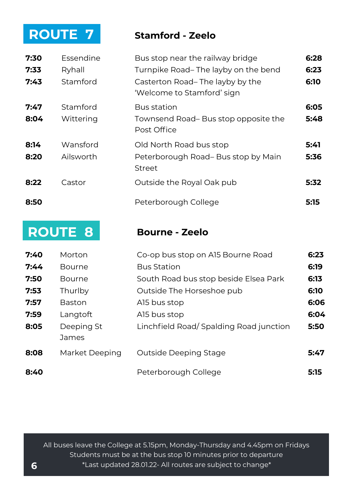### **| ROUTE 7 Stamford - Zeelo ROUTE 7**

| 7:30 | Essendine | Bus stop near the railway bridge                              | 6:28 |
|------|-----------|---------------------------------------------------------------|------|
| 7:33 | Ryhall    | Turnpike Road-The layby on the bend                           | 6:23 |
| 7:43 | Stamford  | Casterton Road-The layby by the<br>'Welcome to Stamford' sign | 6:10 |
| 7:47 | Stamford  | <b>Bus station</b>                                            | 6:05 |
| 8:04 | Wittering | Townsend Road-Bus stop opposite the<br>Post Office            | 5:48 |
| 8:14 | Wansford  | Old North Road bus stop                                       | 5:41 |
| 8:20 | Ailsworth | Peterborough Road-Bus stop by Main<br><b>Street</b>           | 5:36 |
| 8:22 | Castor    | Outside the Royal Oak pub                                     | 5:32 |
| 8:50 |           | Peterborough College                                          | 5:15 |

# **| ROUTE 8 Bourne - Zeelo ROUTE 8**

| 7:40 | Morton              | Co-op bus stop on A15 Bourne Road      | 6:23 |
|------|---------------------|----------------------------------------|------|
| 7:44 | <b>Bourne</b>       | <b>Bus Station</b>                     | 6:19 |
| 7:50 | <b>Bourne</b>       | South Road bus stop beside Elsea Park  | 6:13 |
| 7:53 | Thurlby             | Outside The Horseshoe pub              | 6:10 |
| 7:57 | <b>Baston</b>       | Al5 bus stop                           | 6:06 |
| 7:59 | Langtoft            | Al5 bus stop                           | 6:04 |
| 8:05 | Deeping St<br>James | Linchfield Road/Spalding Road junction | 5:50 |
| 8:08 | Market Deeping      | Outside Deeping Stage                  | 5:47 |
| 8:40 |                     | Peterborough College                   | 5:15 |

All buses leave the College at 5.15pm, Monday-Thursday and 4.45pm on Fridays Students must be at the bus stop 10 minutes prior to departure **6** \*Last updated 28.01.22- All routes are subject to change\*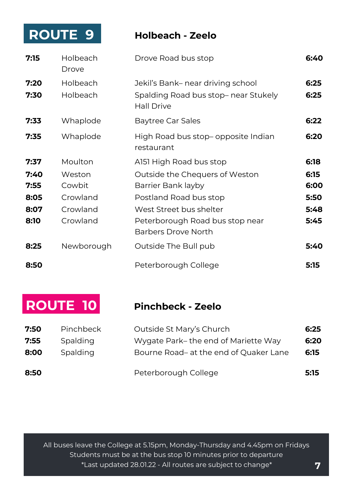### **| ROUTE 9 Holbeach - Zeelo ROUTE 9**

| 7:15                 | <b>Holbeach</b><br>Drove                 | Drove Road bus stop                                                                            | 6:40                 |
|----------------------|------------------------------------------|------------------------------------------------------------------------------------------------|----------------------|
| 7:20<br>7:30         | <b>Holbeach</b><br>Holbeach              | Jekil's Bank– near driving school<br>Spalding Road bus stop- near Stukely<br><b>Hall Drive</b> | 6:25<br>6:25         |
| 7:33                 | Whaplode                                 | Baytree Car Sales                                                                              | 6:22                 |
| 7:35                 | Whaplode                                 | High Road bus stop- opposite Indian<br>restaurant                                              | 6:20                 |
| 7:37                 | Moulton                                  | A151 High Road bus stop                                                                        | 6:18                 |
| 7:40<br>7:55<br>8:05 | Weston<br>Cowbit<br>Crowland<br>Crowland | Outside the Chequers of Weston<br>Barrier Bank layby<br>Postland Road bus stop                 | 6:15<br>6:00<br>5:50 |
| 8:07<br>8:10         | Crowland                                 | West Street bus shelter<br>Peterborough Road bus stop near<br>Barbers Drove North              | 5:48<br>5:45         |
| 8:25                 | Newborough                               | Outside The Bull pub                                                                           | 5:40                 |
| 8:50                 |                                          | Peterborough College                                                                           | 5:15                 |

### **| ROUTE 10 Pinchbeck - Zeelo ROUTE 10**

| 7:50 | <b>Pinchbeck</b> | Outside St Mary's Church               | 6:25 |
|------|------------------|----------------------------------------|------|
| 7:55 | Spalding         | Wygate Park– the end of Mariette Way   | 6:20 |
| 8:00 | Spalding         | Bourne Road- at the end of Quaker Lane | 6:15 |
| 8:50 |                  | Peterborough College                   | 5:15 |

All buses leave the College at 5.15pm, Monday-Thursday and 4.45pm on Fridays Students must be at the bus stop 10 minutes prior to departure \*Last updated 28.01.22 - All routes are subject to change\* **7**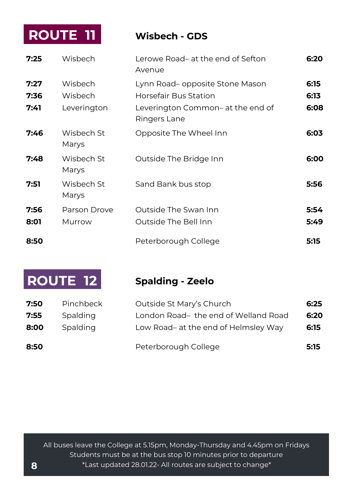### **| ROUTE 11 Wisbech - GDS ROUTE 11**

| 7:25                 | Wisbech                           | Lerowe Road- at the end of Sefton<br>Avenue                                                                   | 6:20                 |
|----------------------|-----------------------------------|---------------------------------------------------------------------------------------------------------------|----------------------|
| 7:27<br>7:36<br>7:41 | Wisbech<br>Wisbech<br>Leverington | Lynn Road– opposite Stone Mason<br>Horsefair Bus Station<br>Leverington Common- at the end of<br>Ringers Lane | 6:15<br>6:13<br>6:08 |
| 7:46                 | Wishech St<br>Marys               | Opposite The Wheel Inn                                                                                        | 6:03                 |
| 7:48                 | Wisbech St<br>Marys               | Outside The Bridge Inn                                                                                        | 6:00                 |
| 7:51                 | Wisbech St<br>Marys               | Sand Bank bus stop                                                                                            | 5:56                 |
| 7:56                 | Parson Drove                      | Outside The Swan Inn                                                                                          | 5:54                 |
| 8:01                 | Murrow                            | Outside The Bell Inn                                                                                          | 5:49                 |
| 8:50                 |                                   | Peterborough College                                                                                          | 5:15                 |

# **| ROUTE 12 Spalding - Zeelo ROUTE 12**

| 7:50 | <b>Pinchbeck</b> | Outside St Mary's Church             | 6:25 |
|------|------------------|--------------------------------------|------|
| 7:55 | Spalding         | London Road-the end of Welland Road  | 6:20 |
| 8:00 | Spalding         | Low Road- at the end of Helmsley Way | 6:15 |
| 8:50 |                  | Peterborough College                 | 5:15 |

All buses leave the College at 5.15pm, Monday-Thursday and 4.45pm on Fridays Students must be at the bus stop 10 minutes prior to departure **8** \*Last updated 28.01.22- All routes are subject to change\*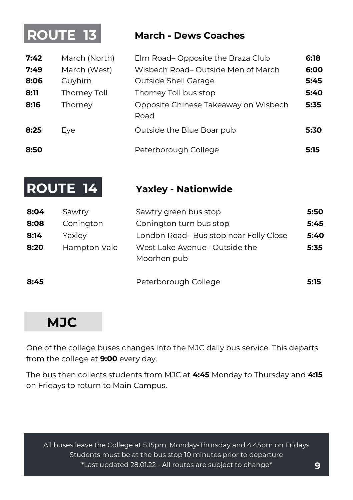# **ROUTE 13**

#### **| ROUTE 13 March - Dews Coaches**

| 7:42<br>7:49<br>8:06<br>8:11<br>8:16 | March (North)<br>March (West)<br>Guyhirn<br>Thorney Toll<br>Thorney | Elm Road-Opposite the Braza Club<br>Wisbech Road-Outside Men of March<br>Outside Shell Garage<br>Thorney Toll bus stop<br>Opposite Chinese Takeaway on Wisbech<br>Road | 6:18<br>6:00<br>5:45<br>5:40<br>5:35 |
|--------------------------------------|---------------------------------------------------------------------|------------------------------------------------------------------------------------------------------------------------------------------------------------------------|--------------------------------------|
| 8:25                                 | Eye                                                                 | Outside the Blue Boar pub                                                                                                                                              | 5:30                                 |
| 8:50                                 |                                                                     | Peterborough College                                                                                                                                                   | 5:15                                 |

# **ROUTE 14**

#### **| ROUTE 1 Yaxley - Nationwide**

| 8:04 | Sawtry       | Sawtry green bus stop                       | 5:50 |
|------|--------------|---------------------------------------------|------|
| 8:08 | Conington    | Conington turn bus stop                     | 5:45 |
| 8:14 | Yaxley       | London Road-Bus stop near Folly Close       | 5:40 |
| 8:20 | Hampton Vale | West Lake Avenue-Outside the<br>Moorhen pub | 5:35 |
| 8:45 |              | Peterborough College                        | 5:15 |

# **MJC**

One of the college buses changes into the MJC daily bus service. This departs from the college at **9:00** every day.

The bus then collects students from MJC at **4:45** Monday to Thursday and **4:15**  on Fridays to return to Main Campus.

All buses leave the College at 5.15pm, Monday-Thursday and 4.45pm on Fridays Students must be at the bus stop 10 minutes prior to departure \*Last updated 28.01.22 - All routes are subject to change\* **9**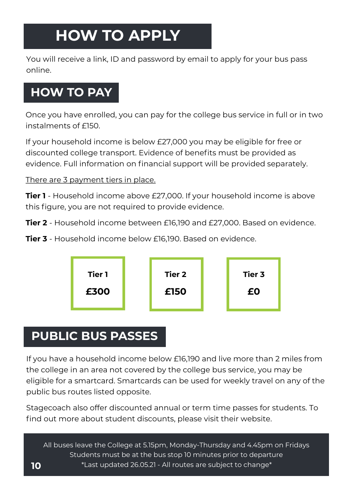# **HOW TO APPLY**

You will receive a link, ID and password by email to apply for your bus pass online.

## **HOW TO PAY**

Once you have enrolled, you can pay for the college bus service in full or in two instalments of £150.

If your household income is below £27,000 you may be eligible for free or discounted college transport. Evidence of benefits must be provided as evidence. Full information on financial support will be provided separately.

There are 3 payment tiers in place.

**Tier 1** - Household income above £27,000. If your household income is above this figure, you are not required to provide evidence.

**Tier 2** - Household income between £16,190 and £27,000. Based on evidence.

**Tier 3** - Household income below £16,190. Based on evidence.



# **PUBLIC BUS PASSES**

If you have a household income below £16,190 and live more than 2 miles from the college in an area not covered by the college bus service, you may be eligible for a smartcard. Smartcards can be used for weekly travel on any of the public bus routes listed opposite.

Stagecoach also offer discounted annual or term time passes for students. To find out more about student discounts, please visit their website.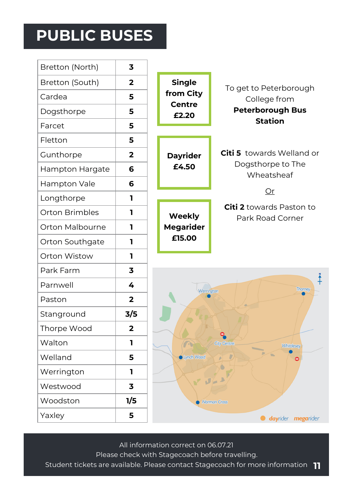# **PUBLIC BUSES**

**r** 

| Bretton (North) | 3              |                                         |                                                     |  |  |
|-----------------|----------------|-----------------------------------------|-----------------------------------------------------|--|--|
| Bretton (South) | $\overline{2}$ | <b>Single</b>                           | To get to Peterborough<br>College from              |  |  |
| Cardea          | 5              | from City                               |                                                     |  |  |
| Dogsthorpe      | 5              | <b>Centre</b><br>£2.20                  | <b>Peterborough Bus</b>                             |  |  |
| Farcet          | 5              |                                         | <b>Station</b>                                      |  |  |
| Fletton         | 5              |                                         |                                                     |  |  |
| Gunthorpe       | 2              | <b>Dayrider</b>                         | Citi 5 towards Welland or                           |  |  |
| Hampton Hargate | 6              | £4.50                                   | Dogsthorpe to The<br>Wheatsheaf                     |  |  |
| Hampton Vale    | 6              |                                         |                                                     |  |  |
| Longthorpe      | 1              |                                         | Or                                                  |  |  |
| Orton Brimbles  | 1              | Weekly                                  | <b>Citi 2</b> towards Paston to<br>Park Road Corner |  |  |
| Orton Malbourne | 1              | <b>Megarider</b>                        |                                                     |  |  |
| Orton Southgate | 1              | £15.00                                  |                                                     |  |  |
| Orton Wistow    | 1              |                                         |                                                     |  |  |
| Park Farm       | 3              |                                         |                                                     |  |  |
| Parnwell        | 4              |                                         | ∔<br><b>Thorney</b>                                 |  |  |
| Paston          | $\overline{2}$ | Werrington                              |                                                     |  |  |
| Stanground      | 3/5            |                                         |                                                     |  |  |
| Thorpe Wood     | $\overline{2}$ |                                         |                                                     |  |  |
| Walton          | 1              | <b>City Centre</b><br><b>Whittlesey</b> |                                                     |  |  |
| Welland         | 5              | Lynch Wood                              |                                                     |  |  |
| Werrington      | 1              |                                         |                                                     |  |  |
| Westwood        | 3              | $J =$                                   |                                                     |  |  |
| Woodston        | 1/5            |                                         | Norman Cross                                        |  |  |
| Yaxley          | 5              |                                         | <b>dayrider</b> megarider                           |  |  |

All information correct on 06.07.21 Please check with Stagecoach before travelling. Student tickets are available. Please contact Stagecoach for more information **11**